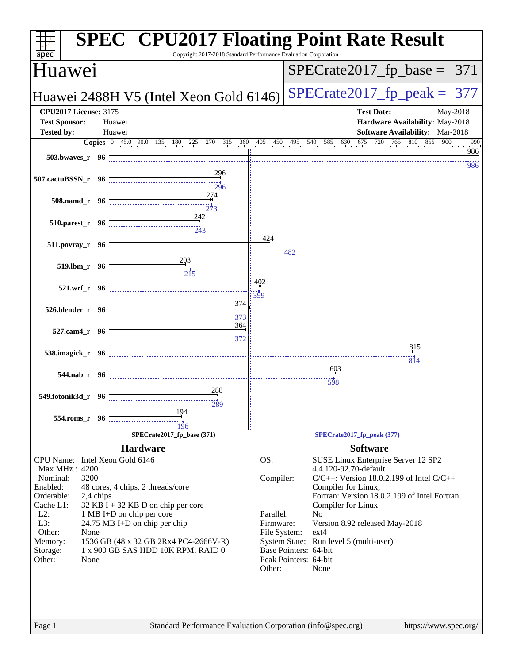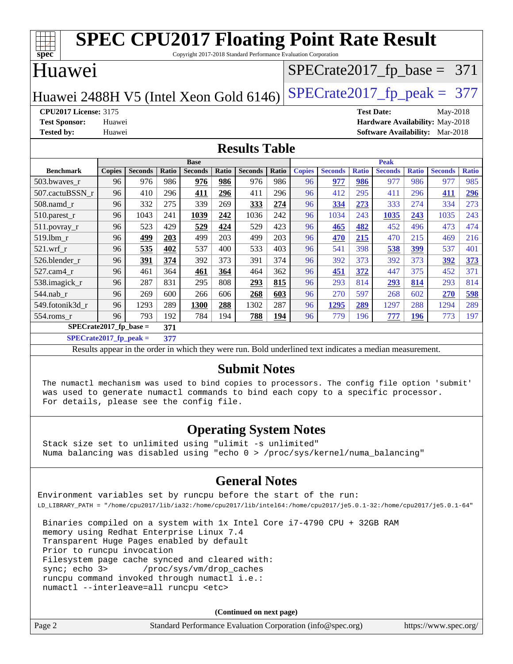| <b>SPEC CPU2017 Floating Point Rate Result</b><br>spec<br>Copyright 2017-2018 Standard Performance Evaluation Corporation |               |                |       |                |       |                |              |               |                |              |                               |              |                                 |              |
|---------------------------------------------------------------------------------------------------------------------------|---------------|----------------|-------|----------------|-------|----------------|--------------|---------------|----------------|--------------|-------------------------------|--------------|---------------------------------|--------------|
| Huawei<br>$SPECTate2017$ _fp_base = 371                                                                                   |               |                |       |                |       |                |              |               |                |              |                               |              |                                 |              |
| $SPECrate2017fp peak = 377$<br>Huawei 2488H V5 (Intel Xeon Gold 6146)                                                     |               |                |       |                |       |                |              |               |                |              |                               |              |                                 |              |
| <b>CPU2017 License: 3175</b>                                                                                              |               |                |       |                |       |                |              |               |                |              | <b>Test Date:</b>             |              | May-2018                        |              |
| <b>Test Sponsor:</b>                                                                                                      | Huawei        |                |       |                |       |                |              |               |                |              |                               |              | Hardware Availability: May-2018 |              |
| <b>Tested by:</b>                                                                                                         | Huawei        |                |       |                |       |                |              |               |                |              | <b>Software Availability:</b> |              | Mar-2018                        |              |
| <b>Results Table</b>                                                                                                      |               |                |       |                |       |                |              |               |                |              |                               |              |                                 |              |
|                                                                                                                           |               |                |       | <b>Base</b>    |       |                |              |               |                |              | <b>Peak</b>                   |              |                                 |              |
| <b>Benchmark</b>                                                                                                          | <b>Copies</b> | <b>Seconds</b> | Ratio | <b>Seconds</b> | Ratio | <b>Seconds</b> | <b>Ratio</b> | <b>Copies</b> | <b>Seconds</b> | <b>Ratio</b> | <b>Seconds</b>                | <b>Ratio</b> | <b>Seconds</b>                  | <b>Ratio</b> |
| 503.bwaves r                                                                                                              | 96            | 976            | 986   | 976            | 986   | 976            | 986          | 96            | 977            | 986          | 977                           | 986          | 977                             | 985          |
| 507.cactuBSSN r                                                                                                           | 96            | 410            | 296   | 411            | 296   | 411            | 296          | 96            | 412            | 295          | 411                           | 296          | 411                             | 296          |
| 508.namd_r                                                                                                                | 96            | 332            | 275   | 339            | 269   | 333            | 274          | 96            | 334            | 273          | 333                           | 274          | 334                             | 273          |
| 510.parest_r                                                                                                              | 96            | 1043           | 241   | 1039           | 242   | 1036           | 242          | 96            | 1034           | 243          | 1035                          | 243          | 1035                            | 243          |
| 511.povray_r                                                                                                              | 96            | 523            | 429   | 529            | 424   | 529            | 423          | 96            | 465            | 482          | 452                           | 496          | 473                             | 474          |
| 519.1bm r                                                                                                                 | 96            | 499            | 203   | 499            | 203   | 499            | 203          | 96            | 470            | 215          | 470                           | 215          | 469                             | 216          |
| 521.wrf r                                                                                                                 | 96            | 535            | 402   | 537            | 400   | 533            | 403          | 96            | 541            | 398          | 538                           | 399          | 537                             | 401          |
| 526.blender r                                                                                                             | 96            | 391            | 374   | 392            | 373   | 391            | 374          | 96            | 392            | 373          | 392                           | 373          | 392                             | 373          |
| 527.cam4_r                                                                                                                | 96            | 461            | 364   | 461            | 364   | 464            | 362          | 96            | 451            | 372          | 447                           | 375          | 452                             | 371          |
| 538.imagick_r                                                                                                             | 96            | 287            | 831   | 295            | 808   | 293            | 815          | 96            | 293            | 814          | 293                           | 814          | 293                             | 814          |
| 544.nab r                                                                                                                 | 96            | 269            | 600   | 266            | 606   | 268            | 603          | 96            | 270            | 597          | 268                           | 602          | 270                             | 598          |
| 549.fotonik3d_r                                                                                                           | 96            | 1293           | 289   | 1300           | 288   | 1302           | 287          | 96            | 1295           | 289          | 1297                          | 288          | 1294                            | 289          |
| 554.roms_r                                                                                                                | 96            | 793            | 192   | 784            | 194   | 788            | 194          | 96            | 779            | 196          | 777                           | 196          | 773                             | 197          |
| $SPECrate2017_fp\_base =$                                                                                                 |               |                | 371   |                |       |                |              |               |                |              |                               |              |                                 |              |

**[SPECrate2017\\_fp\\_peak =](http://www.spec.org/auto/cpu2017/Docs/result-fields.html#SPECrate2017fppeak) 377**

Results appear in the [order in which they were run](http://www.spec.org/auto/cpu2017/Docs/result-fields.html#RunOrder). Bold underlined text [indicates a median measurement](http://www.spec.org/auto/cpu2017/Docs/result-fields.html#Median).

#### **[Submit Notes](http://www.spec.org/auto/cpu2017/Docs/result-fields.html#SubmitNotes)**

 The numactl mechanism was used to bind copies to processors. The config file option 'submit' was used to generate numactl commands to bind each copy to a specific processor. For details, please see the config file.

#### **[Operating System Notes](http://www.spec.org/auto/cpu2017/Docs/result-fields.html#OperatingSystemNotes)**

 Stack size set to unlimited using "ulimit -s unlimited" Numa balancing was disabled using "echo 0 > /proc/sys/kernel/numa\_balancing"

#### **[General Notes](http://www.spec.org/auto/cpu2017/Docs/result-fields.html#GeneralNotes)**

Environment variables set by runcpu before the start of the run: LD\_LIBRARY\_PATH = "/home/cpu2017/lib/ia32:/home/cpu2017/lib/intel64:/home/cpu2017/je5.0.1-32:/home/cpu2017/je5.0.1-64"

 Binaries compiled on a system with 1x Intel Core i7-4790 CPU + 32GB RAM memory using Redhat Enterprise Linux 7.4 Transparent Huge Pages enabled by default Prior to runcpu invocation Filesystem page cache synced and cleared with: sync; echo 3> /proc/sys/vm/drop\_caches runcpu command invoked through numactl i.e.: numactl --interleave=all runcpu <etc>

**(Continued on next page)**

| Page 2<br>Standard Performance Evaluation Corporation (info@spec.org) | https://www.spec.org/ |
|-----------------------------------------------------------------------|-----------------------|
|-----------------------------------------------------------------------|-----------------------|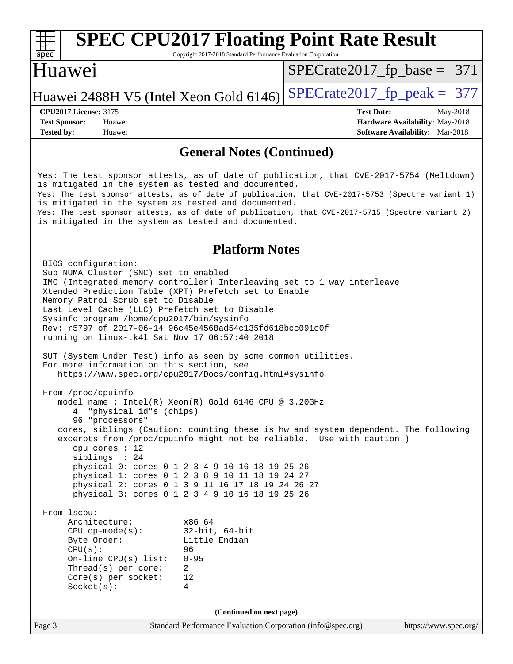Copyright 2017-2018 Standard Performance Evaluation Corporation

## Huawei

[SPECrate2017\\_fp\\_base =](http://www.spec.org/auto/cpu2017/Docs/result-fields.html#SPECrate2017fpbase) 371

## Huawei 2488H V5 (Intel Xeon Gold  $6146$ ) [SPECrate2017\\_fp\\_peak =](http://www.spec.org/auto/cpu2017/Docs/result-fields.html#SPECrate2017fppeak) 377

**[Tested by:](http://www.spec.org/auto/cpu2017/Docs/result-fields.html#Testedby)** Huawei **[Software Availability:](http://www.spec.org/auto/cpu2017/Docs/result-fields.html#SoftwareAvailability)** Mar-2018

**[CPU2017 License:](http://www.spec.org/auto/cpu2017/Docs/result-fields.html#CPU2017License)** 3175 **[Test Date:](http://www.spec.org/auto/cpu2017/Docs/result-fields.html#TestDate)** May-2018 **[Test Sponsor:](http://www.spec.org/auto/cpu2017/Docs/result-fields.html#TestSponsor)** Huawei **[Hardware Availability:](http://www.spec.org/auto/cpu2017/Docs/result-fields.html#HardwareAvailability)** May-2018

#### **[General Notes \(Continued\)](http://www.spec.org/auto/cpu2017/Docs/result-fields.html#GeneralNotes)**

Yes: The test sponsor attests, as of date of publication, that CVE-2017-5754 (Meltdown) is mitigated in the system as tested and documented. Yes: The test sponsor attests, as of date of publication, that CVE-2017-5753 (Spectre variant 1) is mitigated in the system as tested and documented. Yes: The test sponsor attests, as of date of publication, that CVE-2017-5715 (Spectre variant 2) is mitigated in the system as tested and documented.

#### **[Platform Notes](http://www.spec.org/auto/cpu2017/Docs/result-fields.html#PlatformNotes)**

Page 3 Standard Performance Evaluation Corporation [\(info@spec.org\)](mailto:info@spec.org) <https://www.spec.org/> BIOS configuration: Sub NUMA Cluster (SNC) set to enabled IMC (Integrated memory controller) Interleaving set to 1 way interleave Xtended Prediction Table (XPT) Prefetch set to Enable Memory Patrol Scrub set to Disable Last Level Cache (LLC) Prefetch set to Disable Sysinfo program /home/cpu2017/bin/sysinfo Rev: r5797 of 2017-06-14 96c45e4568ad54c135fd618bcc091c0f running on linux-tk4l Sat Nov 17 06:57:40 2018 SUT (System Under Test) info as seen by some common utilities. For more information on this section, see <https://www.spec.org/cpu2017/Docs/config.html#sysinfo> From /proc/cpuinfo model name : Intel(R) Xeon(R) Gold 6146 CPU @ 3.20GHz 4 "physical id"s (chips) 96 "processors" cores, siblings (Caution: counting these is hw and system dependent. The following excerpts from /proc/cpuinfo might not be reliable. Use with caution.) cpu cores : 12 siblings : 24 physical 0: cores 0 1 2 3 4 9 10 16 18 19 25 26 physical 1: cores 0 1 2 3 8 9 10 11 18 19 24 27 physical 2: cores 0 1 3 9 11 16 17 18 19 24 26 27 physical 3: cores 0 1 2 3 4 9 10 16 18 19 25 26 From lscpu: Architecture: x86\_64<br>
CPU op-mode(s): 32-bit, 64-bit CPU op-mode(s):<br>Byte Order: Little Endian CPU(s): 96 On-line CPU(s) list: 0-95 Thread(s) per core: 2 Core(s) per socket: 12 Socket(s): 4 **(Continued on next page)**

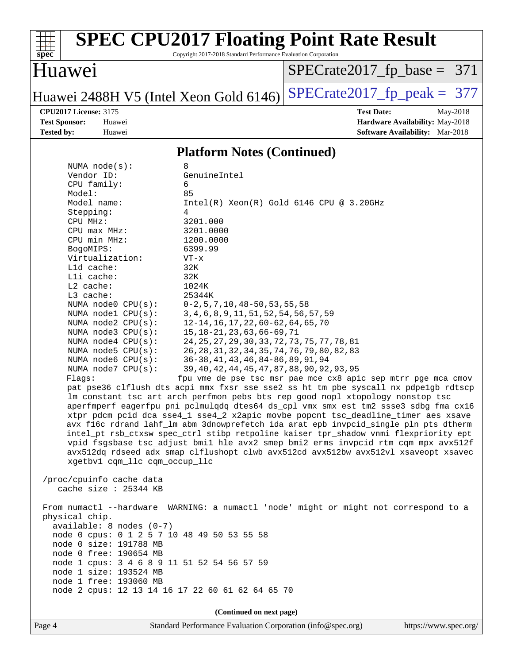

Copyright 2017-2018 Standard Performance Evaluation Corporation

## Huawei

[SPECrate2017\\_fp\\_base =](http://www.spec.org/auto/cpu2017/Docs/result-fields.html#SPECrate2017fpbase) 371

## Huawei 2488H V5 (Intel Xeon Gold 6146) SPECrate  $2017$  fp peak = 377

**[CPU2017 License:](http://www.spec.org/auto/cpu2017/Docs/result-fields.html#CPU2017License)** 3175 **[Test Date:](http://www.spec.org/auto/cpu2017/Docs/result-fields.html#TestDate)** May-2018 **[Test Sponsor:](http://www.spec.org/auto/cpu2017/Docs/result-fields.html#TestSponsor)** Huawei **[Hardware Availability:](http://www.spec.org/auto/cpu2017/Docs/result-fields.html#HardwareAvailability)** May-2018 **[Tested by:](http://www.spec.org/auto/cpu2017/Docs/result-fields.html#Testedby)** Huawei **[Software Availability:](http://www.spec.org/auto/cpu2017/Docs/result-fields.html#SoftwareAvailability)** Mar-2018

#### **[Platform Notes \(Continued\)](http://www.spec.org/auto/cpu2017/Docs/result-fields.html#PlatformNotes)**

| NUMA $node(s):$                                  | 8                                                                                    |  |  |  |  |  |  |
|--------------------------------------------------|--------------------------------------------------------------------------------------|--|--|--|--|--|--|
| Vendor ID:                                       | GenuineIntel                                                                         |  |  |  |  |  |  |
| CPU family:                                      | 6                                                                                    |  |  |  |  |  |  |
| Model:                                           | 85                                                                                   |  |  |  |  |  |  |
| Model name:                                      | $Intel(R)$ Xeon $(R)$ Gold 6146 CPU @ 3.20GHz                                        |  |  |  |  |  |  |
| Stepping:                                        | 4                                                                                    |  |  |  |  |  |  |
| CPU MHz:                                         | 3201.000                                                                             |  |  |  |  |  |  |
| $CPU$ max $MHz$ :                                | 3201.0000                                                                            |  |  |  |  |  |  |
| CPU min MHz:                                     | 1200.0000                                                                            |  |  |  |  |  |  |
| BogoMIPS:                                        | 6399.99                                                                              |  |  |  |  |  |  |
| Virtualization:                                  | VT-x                                                                                 |  |  |  |  |  |  |
| L1d cache:                                       | 32K                                                                                  |  |  |  |  |  |  |
| Lli cache:                                       | 32K                                                                                  |  |  |  |  |  |  |
| $L2$ cache:                                      | 1024K                                                                                |  |  |  |  |  |  |
| L3 cache:                                        | 25344K                                                                               |  |  |  |  |  |  |
| NUMA node0 CPU(s):                               | $0-2$ , 5, 7, 10, 48-50, 53, 55, 58                                                  |  |  |  |  |  |  |
| NUMA nodel CPU(s):                               | 3, 4, 6, 8, 9, 11, 51, 52, 54, 56, 57, 59                                            |  |  |  |  |  |  |
| NUMA node2 CPU(s):                               | 12-14, 16, 17, 22, 60-62, 64, 65, 70                                                 |  |  |  |  |  |  |
| NUMA $node3$ $CPU(s)$ :                          | 15, 18-21, 23, 63, 66-69, 71                                                         |  |  |  |  |  |  |
| NUMA node4 CPU(s):                               | 24, 25, 27, 29, 30, 33, 72, 73, 75, 77, 78, 81                                       |  |  |  |  |  |  |
| NUMA $node5$ $CPU(s)$ :                          | 26, 28, 31, 32, 34, 35, 74, 76, 79, 80, 82, 83                                       |  |  |  |  |  |  |
| NUMA node6 CPU(s):                               | 36-38, 41, 43, 46, 84-86, 89, 91, 94                                                 |  |  |  |  |  |  |
| NUMA $node7$ $CPU(s):$                           | 39, 40, 42, 44, 45, 47, 87, 88, 90, 92, 93, 95                                       |  |  |  |  |  |  |
| Flagg:                                           | fpu vme de pse tsc msr pae mce cx8 apic sep mtrr pge mca cmov                        |  |  |  |  |  |  |
|                                                  | pat pse36 clflush dts acpi mmx fxsr sse sse2 ss ht tm pbe syscall nx pdpelgb rdtscp  |  |  |  |  |  |  |
|                                                  | lm constant_tsc art arch_perfmon pebs bts rep_good nopl xtopology nonstop_tsc        |  |  |  |  |  |  |
|                                                  | aperfmperf eagerfpu pni pclmulqdq dtes64 ds_cpl vmx smx est tm2 ssse3 sdbg fma cx16  |  |  |  |  |  |  |
|                                                  | xtpr pdcm pcid dca sse4_1 sse4_2 x2apic movbe popcnt tsc_deadline_timer aes xsave    |  |  |  |  |  |  |
|                                                  | avx f16c rdrand lahf_lm abm 3dnowprefetch ida arat epb invpcid_single pln pts dtherm |  |  |  |  |  |  |
|                                                  | intel_pt rsb_ctxsw spec_ctrl stibp retpoline kaiser tpr_shadow vnmi flexpriority ept |  |  |  |  |  |  |
|                                                  | vpid fsgsbase tsc_adjust bmil hle avx2 smep bmi2 erms invpcid rtm cqm mpx avx512f    |  |  |  |  |  |  |
|                                                  | avx512dq rdseed adx smap clflushopt clwb avx512cd avx512bw avx512vl xsaveopt xsavec  |  |  |  |  |  |  |
| xgetbv1 cqm_llc cqm_occup_llc                    |                                                                                      |  |  |  |  |  |  |
|                                                  |                                                                                      |  |  |  |  |  |  |
| /proc/cpuinfo cache data                         |                                                                                      |  |  |  |  |  |  |
| cache size $: 25344$ KB                          |                                                                                      |  |  |  |  |  |  |
|                                                  |                                                                                      |  |  |  |  |  |  |
|                                                  | From numactl --hardware WARNING: a numactl 'node' might or might not correspond to a |  |  |  |  |  |  |
| physical chip.                                   |                                                                                      |  |  |  |  |  |  |
| $available: 8 nodes (0-7)$                       |                                                                                      |  |  |  |  |  |  |
| node 0 cpus: 0 1 2 5 7 10 48 49 50 53 55 58      |                                                                                      |  |  |  |  |  |  |
| node 0 size: 191788 MB                           |                                                                                      |  |  |  |  |  |  |
| node 0 free: 190654 MB                           |                                                                                      |  |  |  |  |  |  |
| node 1 cpus: 3 4 6 8 9 11 51 52 54 56 57 59      |                                                                                      |  |  |  |  |  |  |
| node 1 size: 193524 MB                           |                                                                                      |  |  |  |  |  |  |
| node 1 free: 193060 MB                           |                                                                                      |  |  |  |  |  |  |
| node 2 cpus: 12 13 14 16 17 22 60 61 62 64 65 70 |                                                                                      |  |  |  |  |  |  |
|                                                  |                                                                                      |  |  |  |  |  |  |
|                                                  | (Continued on next page)                                                             |  |  |  |  |  |  |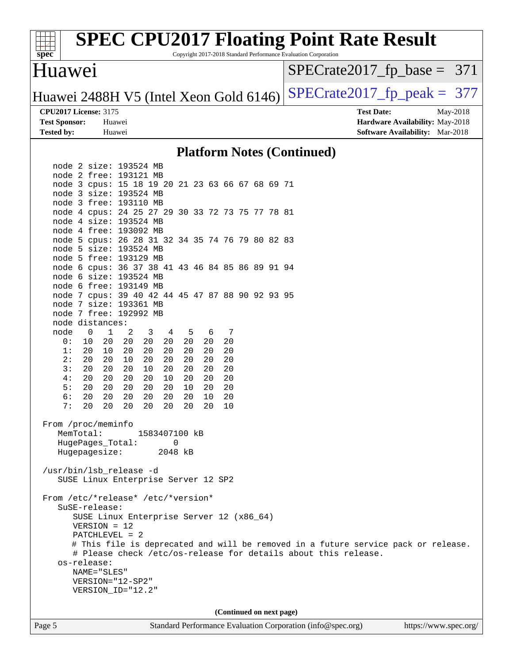

Copyright 2017-2018 Standard Performance Evaluation Corporation

### Huawei

[SPECrate2017\\_fp\\_base =](http://www.spec.org/auto/cpu2017/Docs/result-fields.html#SPECrate2017fpbase) 371

Huawei 2488H V5 (Intel Xeon Gold 6146) SPECrate  $2017$  fp peak = 377

**[Tested by:](http://www.spec.org/auto/cpu2017/Docs/result-fields.html#Testedby)** Huawei **[Software Availability:](http://www.spec.org/auto/cpu2017/Docs/result-fields.html#SoftwareAvailability)** Mar-2018

**[CPU2017 License:](http://www.spec.org/auto/cpu2017/Docs/result-fields.html#CPU2017License)** 3175 **[Test Date:](http://www.spec.org/auto/cpu2017/Docs/result-fields.html#TestDate)** May-2018 **[Test Sponsor:](http://www.spec.org/auto/cpu2017/Docs/result-fields.html#TestSponsor)** Huawei **[Hardware Availability:](http://www.spec.org/auto/cpu2017/Docs/result-fields.html#HardwareAvailability)** May-2018

#### **[Platform Notes \(Continued\)](http://www.spec.org/auto/cpu2017/Docs/result-fields.html#PlatformNotes)**

 node 2 size: 193524 MB node 2 free: 193121 MB node 3 cpus: 15 18 19 20 21 23 63 66 67 68 69 71 node 3 size: 193524 MB node 3 free: 193110 MB node 4 cpus: 24 25 27 29 30 33 72 73 75 77 78 81 node 4 size: 193524 MB node 4 free: 193092 MB node 5 cpus: 26 28 31 32 34 35 74 76 79 80 82 83 node 5 size: 193524 MB node 5 free: 193129 MB node 6 cpus: 36 37 38 41 43 46 84 85 86 89 91 94 node 6 size: 193524 MB node 6 free: 193149 MB node 7 cpus: 39 40 42 44 45 47 87 88 90 92 93 95 node 7 size: 193361 MB node 7 free: 192992 MB node distances: node 0 1 2 3 4 5 6 7 0: 10 20 20 20 20 20 20 20 1: 20 10 20 20 20 20 20 20 2: 20 20 10 20 20 20 20 20 3: 20 20 20 10 20 20 20 20 4: 20 20 20 20 10 20 20 20 5: 20 20 20 20 20 10 20 20 6: 20 20 20 20 20 20 10 20 7: 20 20 20 20 20 20 20 10 From /proc/meminfo MemTotal: 1583407100 kB HugePages\_Total: 0 Hugepagesize: 2048 kB /usr/bin/lsb\_release -d SUSE Linux Enterprise Server 12 SP2 From /etc/\*release\* /etc/\*version\* SuSE-release: SUSE Linux Enterprise Server 12 (x86\_64) VERSION = 12 PATCHLEVEL = 2 # This file is deprecated and will be removed in a future service pack or release. # Please check /etc/os-release for details about this release. os-release: NAME="SLES" VERSION="12-SP2" VERSION\_ID="12.2" **(Continued on next page)**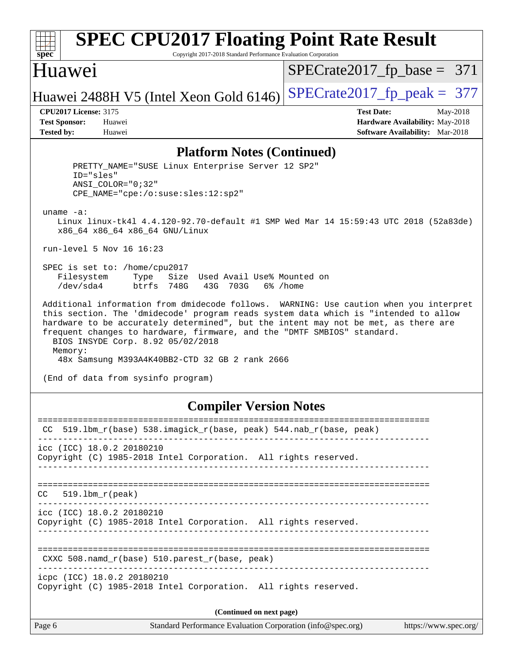| SI<br>ne<br>C. |  |  |  |  |  |  |
|----------------|--|--|--|--|--|--|

Copyright 2017-2018 Standard Performance Evaluation Corporation

## Huawei

[SPECrate2017\\_fp\\_base =](http://www.spec.org/auto/cpu2017/Docs/result-fields.html#SPECrate2017fpbase) 371

Huawei 2488H V5 (Intel Xeon Gold 6146) SPECrate  $2017$  fp peak = 377

**[CPU2017 License:](http://www.spec.org/auto/cpu2017/Docs/result-fields.html#CPU2017License)** 3175 **[Test Date:](http://www.spec.org/auto/cpu2017/Docs/result-fields.html#TestDate)** May-2018 **[Test Sponsor:](http://www.spec.org/auto/cpu2017/Docs/result-fields.html#TestSponsor)** Huawei **[Hardware Availability:](http://www.spec.org/auto/cpu2017/Docs/result-fields.html#HardwareAvailability)** May-2018 **[Tested by:](http://www.spec.org/auto/cpu2017/Docs/result-fields.html#Testedby)** Huawei **[Software Availability:](http://www.spec.org/auto/cpu2017/Docs/result-fields.html#SoftwareAvailability)** Mar-2018

#### **[Platform Notes \(Continued\)](http://www.spec.org/auto/cpu2017/Docs/result-fields.html#PlatformNotes)**

PRETTY NAME="SUSE Linux Enterprise Server 12 SP2" ID="sles" ANSI\_COLOR="0;32" CPE\_NAME="cpe:/o:suse:sles:12:sp2" uname -a: Linux linux-tk4l 4.4.120-92.70-default #1 SMP Wed Mar 14 15:59:43 UTC 2018 (52a83de) x86\_64 x86\_64 x86\_64 GNU/Linux run-level 5 Nov 16 16:23 SPEC is set to: /home/cpu2017 Filesystem Type Size Used Avail Use% Mounted on /dev/sda4 btrfs 748G 43G 703G 6% /home Additional information from dmidecode follows. WARNING: Use caution when you interpret this section. The 'dmidecode' program reads system data which is "intended to allow hardware to be accurately determined", but the intent may not be met, as there are frequent changes to hardware, firmware, and the "DMTF SMBIOS" standard. BIOS INSYDE Corp. 8.92 05/02/2018 Memory: 48x Samsung M393A4K40BB2-CTD 32 GB 2 rank 2666 (End of data from sysinfo program) **[Compiler Version Notes](http://www.spec.org/auto/cpu2017/Docs/result-fields.html#CompilerVersionNotes)** ============================================================================== CC 519.lbm\_r(base) 538.imagick\_r(base, peak) 544.nab\_r(base, peak) ----------------------------------------------------------------------------- icc (ICC) 18.0.2 20180210 Copyright (C) 1985-2018 Intel Corporation. All rights reserved. ------------------------------------------------------------------------------ ============================================================================== CC 519.lbm\_r(peak) ----------------------------------------------------------------------------- icc (ICC) 18.0.2 20180210 Copyright (C) 1985-2018 Intel Corporation. All rights reserved. ------------------------------------------------------------------------------

============================================================================== CXXC 508.namd  $r(base)$  510.parest  $r(base, peak)$ 

------------------------------------------------------------------------------

icpc (ICC) 18.0.2 20180210

Copyright (C) 1985-2018 Intel Corporation. All rights reserved.

**(Continued on next page)**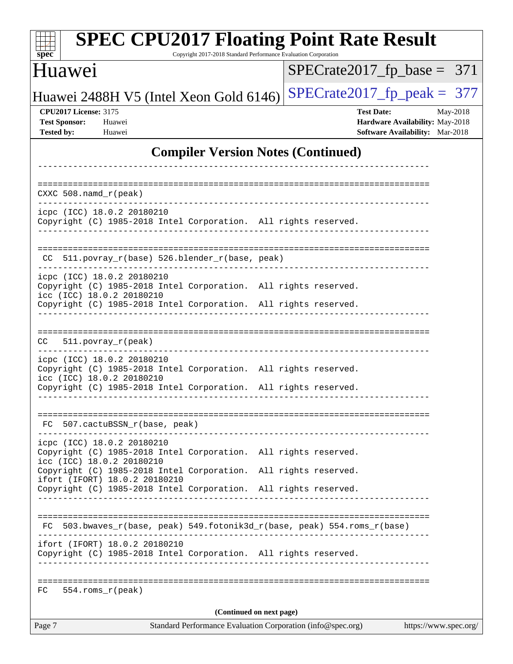| <b>SPEC CPU2017 Floating Point Rate Result</b><br>Copyright 2017-2018 Standard Performance Evaluation Corporation<br>$spec^*$                                                                 |                                                                                                            |
|-----------------------------------------------------------------------------------------------------------------------------------------------------------------------------------------------|------------------------------------------------------------------------------------------------------------|
| Huawei                                                                                                                                                                                        | $SPECrate2017_fp\_base = 371$                                                                              |
| Huawei 2488H V5 (Intel Xeon Gold 6146)                                                                                                                                                        | $SPECTate2017$ _fp_peak = 377                                                                              |
| <b>CPU2017 License: 3175</b><br><b>Test Sponsor:</b><br>Huawei<br><b>Tested by:</b><br>Huawei                                                                                                 | <b>Test Date:</b><br>May-2018<br><b>Hardware Availability: May-2018</b><br>Software Availability: Mar-2018 |
| <b>Compiler Version Notes (Continued)</b>                                                                                                                                                     |                                                                                                            |
|                                                                                                                                                                                               |                                                                                                            |
| $CXXC$ 508. namd $r$ (peak)                                                                                                                                                                   |                                                                                                            |
| icpc (ICC) 18.0.2 20180210<br>Copyright (C) 1985-2018 Intel Corporation. All rights reserved.                                                                                                 |                                                                                                            |
| CC 511.povray_r(base) 526.blender_r(base, peak)                                                                                                                                               |                                                                                                            |
| icpc (ICC) 18.0.2 20180210<br>Copyright (C) 1985-2018 Intel Corporation. All rights reserved.<br>icc (ICC) 18.0.2 20180210<br>Copyright (C) 1985-2018 Intel Corporation. All rights reserved. |                                                                                                            |
| CC.<br>$511. povray_r (peak)$<br>icpc (ICC) 18.0.2 20180210                                                                                                                                   |                                                                                                            |
| Copyright (C) 1985-2018 Intel Corporation. All rights reserved.<br>icc (ICC) 18.0.2 20180210<br>Copyright (C) 1985-2018 Intel Corporation. All rights reserved.                               |                                                                                                            |
| FC 507.cactuBSSN_r(base, peak)<br>-----------------                                                                                                                                           |                                                                                                            |
| icpc (ICC) 18.0.2 20180210<br>Copyright (C) 1985-2018 Intel Corporation. All rights reserved.<br>icc (ICC) 18.0.2 20180210                                                                    |                                                                                                            |
| Copyright (C) 1985-2018 Intel Corporation. All rights reserved.<br>ifort (IFORT) 18.0.2 20180210<br>Copyright (C) 1985-2018 Intel Corporation. All rights reserved.                           |                                                                                                            |
|                                                                                                                                                                                               |                                                                                                            |
| FC 503.bwaves_r(base, peak) 549.fotonik3d_r(base, peak) 554.roms_r(base)                                                                                                                      |                                                                                                            |
| ifort (IFORT) 18.0.2 20180210<br>Copyright (C) 1985-2018 Intel Corporation. All rights reserved.<br>----------------------                                                                    |                                                                                                            |
| 554.roms r(peak)<br>FC                                                                                                                                                                        |                                                                                                            |
| (Continued on next page)                                                                                                                                                                      |                                                                                                            |
| Page 7<br>Standard Performance Evaluation Corporation (info@spec.org)                                                                                                                         | https://www.spec.org/                                                                                      |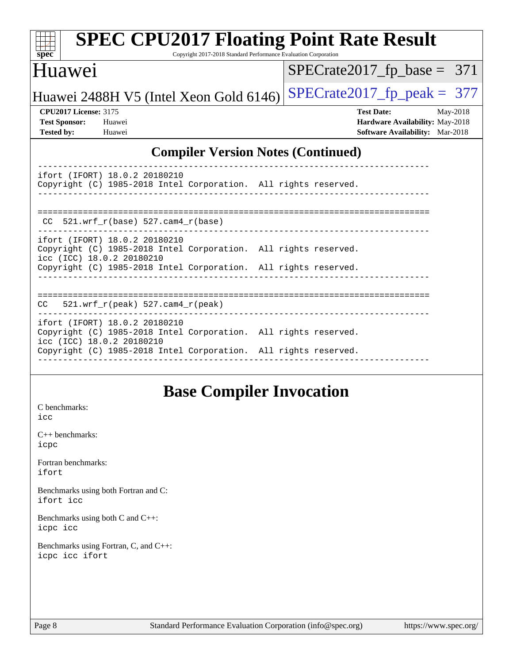| spec <sup>®</sup><br>Copyright 2017-2018 Standard Performance Evaluation Corporation                                          |                                                                           |
|-------------------------------------------------------------------------------------------------------------------------------|---------------------------------------------------------------------------|
| Huawei                                                                                                                        | $SPECrate2017_fp\_base = 371$                                             |
| Huawei 2488H V5 (Intel Xeon Gold 6146)                                                                                        | $SPECrate2017fp peak = 377$                                               |
| <b>CPU2017 License: 3175</b>                                                                                                  | <b>Test Date:</b><br>May-2018                                             |
| <b>Test Sponsor:</b><br>Huawei<br><b>Tested by:</b><br>Huawei                                                                 | Hardware Availability: May-2018<br><b>Software Availability:</b> Mar-2018 |
| ifort (IFORT) 18.0.2 20180210<br>Copyright (C) 1985-2018 Intel Corporation. All rights reserved.                              |                                                                           |
| $CC$ 521.wrf $r(base)$ 527.cam4 $r(base)$                                                                                     | ------------------------------------                                      |
| ifort (IFORT) 18.0.2 20180210<br>Copyright (C) 1985-2018 Intel Corporation. All rights reserved.<br>icc (ICC) 18.0.2 20180210 |                                                                           |
| Copyright (C) 1985-2018 Intel Corporation. All rights reserved.                                                               |                                                                           |

----------------------------------------------------------------------------- ifort (IFORT) 18.0.2 20180210 Copyright (C) 1985-2018 Intel Corporation. All rights reserved. icc (ICC) 18.0.2 20180210 Copyright (C) 1985-2018 Intel Corporation. All rights reserved. ------------------------------------------------------------------------------

## **[Base Compiler Invocation](http://www.spec.org/auto/cpu2017/Docs/result-fields.html#BaseCompilerInvocation)**

[C benchmarks](http://www.spec.org/auto/cpu2017/Docs/result-fields.html#Cbenchmarks): [icc](http://www.spec.org/cpu2017/results/res2018q4/cpu2017-20181118-09819.flags.html#user_CCbase_intel_icc_18.0_66fc1ee009f7361af1fbd72ca7dcefbb700085f36577c54f309893dd4ec40d12360134090235512931783d35fd58c0460139e722d5067c5574d8eaf2b3e37e92)

[C++ benchmarks:](http://www.spec.org/auto/cpu2017/Docs/result-fields.html#CXXbenchmarks) [icpc](http://www.spec.org/cpu2017/results/res2018q4/cpu2017-20181118-09819.flags.html#user_CXXbase_intel_icpc_18.0_c510b6838c7f56d33e37e94d029a35b4a7bccf4766a728ee175e80a419847e808290a9b78be685c44ab727ea267ec2f070ec5dc83b407c0218cded6866a35d07)

[Fortran benchmarks](http://www.spec.org/auto/cpu2017/Docs/result-fields.html#Fortranbenchmarks): [ifort](http://www.spec.org/cpu2017/results/res2018q4/cpu2017-20181118-09819.flags.html#user_FCbase_intel_ifort_18.0_8111460550e3ca792625aed983ce982f94888b8b503583aa7ba2b8303487b4d8a21a13e7191a45c5fd58ff318f48f9492884d4413fa793fd88dd292cad7027ca)

[Benchmarks using both Fortran and C](http://www.spec.org/auto/cpu2017/Docs/result-fields.html#BenchmarksusingbothFortranandC): [ifort](http://www.spec.org/cpu2017/results/res2018q4/cpu2017-20181118-09819.flags.html#user_CC_FCbase_intel_ifort_18.0_8111460550e3ca792625aed983ce982f94888b8b503583aa7ba2b8303487b4d8a21a13e7191a45c5fd58ff318f48f9492884d4413fa793fd88dd292cad7027ca) [icc](http://www.spec.org/cpu2017/results/res2018q4/cpu2017-20181118-09819.flags.html#user_CC_FCbase_intel_icc_18.0_66fc1ee009f7361af1fbd72ca7dcefbb700085f36577c54f309893dd4ec40d12360134090235512931783d35fd58c0460139e722d5067c5574d8eaf2b3e37e92)

[Benchmarks using both C and C++](http://www.spec.org/auto/cpu2017/Docs/result-fields.html#BenchmarksusingbothCandCXX): [icpc](http://www.spec.org/cpu2017/results/res2018q4/cpu2017-20181118-09819.flags.html#user_CC_CXXbase_intel_icpc_18.0_c510b6838c7f56d33e37e94d029a35b4a7bccf4766a728ee175e80a419847e808290a9b78be685c44ab727ea267ec2f070ec5dc83b407c0218cded6866a35d07) [icc](http://www.spec.org/cpu2017/results/res2018q4/cpu2017-20181118-09819.flags.html#user_CC_CXXbase_intel_icc_18.0_66fc1ee009f7361af1fbd72ca7dcefbb700085f36577c54f309893dd4ec40d12360134090235512931783d35fd58c0460139e722d5067c5574d8eaf2b3e37e92)

[Benchmarks using Fortran, C, and C++:](http://www.spec.org/auto/cpu2017/Docs/result-fields.html#BenchmarksusingFortranCandCXX) [icpc](http://www.spec.org/cpu2017/results/res2018q4/cpu2017-20181118-09819.flags.html#user_CC_CXX_FCbase_intel_icpc_18.0_c510b6838c7f56d33e37e94d029a35b4a7bccf4766a728ee175e80a419847e808290a9b78be685c44ab727ea267ec2f070ec5dc83b407c0218cded6866a35d07) [icc](http://www.spec.org/cpu2017/results/res2018q4/cpu2017-20181118-09819.flags.html#user_CC_CXX_FCbase_intel_icc_18.0_66fc1ee009f7361af1fbd72ca7dcefbb700085f36577c54f309893dd4ec40d12360134090235512931783d35fd58c0460139e722d5067c5574d8eaf2b3e37e92) [ifort](http://www.spec.org/cpu2017/results/res2018q4/cpu2017-20181118-09819.flags.html#user_CC_CXX_FCbase_intel_ifort_18.0_8111460550e3ca792625aed983ce982f94888b8b503583aa7ba2b8303487b4d8a21a13e7191a45c5fd58ff318f48f9492884d4413fa793fd88dd292cad7027ca)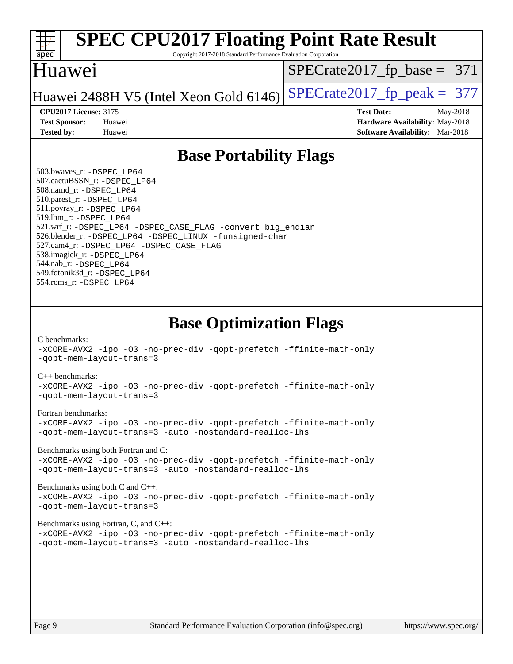

Copyright 2017-2018 Standard Performance Evaluation Corporation

## Huawei

[SPECrate2017\\_fp\\_base =](http://www.spec.org/auto/cpu2017/Docs/result-fields.html#SPECrate2017fpbase) 371

Huawei 2488H V5 (Intel Xeon Gold 6146) SPECrate  $2017$  fp peak = 377

**[CPU2017 License:](http://www.spec.org/auto/cpu2017/Docs/result-fields.html#CPU2017License)** 3175 **[Test Date:](http://www.spec.org/auto/cpu2017/Docs/result-fields.html#TestDate)** May-2018 **[Test Sponsor:](http://www.spec.org/auto/cpu2017/Docs/result-fields.html#TestSponsor)** Huawei **[Hardware Availability:](http://www.spec.org/auto/cpu2017/Docs/result-fields.html#HardwareAvailability)** May-2018 **[Tested by:](http://www.spec.org/auto/cpu2017/Docs/result-fields.html#Testedby)** Huawei **[Software Availability:](http://www.spec.org/auto/cpu2017/Docs/result-fields.html#SoftwareAvailability)** Mar-2018

## **[Base Portability Flags](http://www.spec.org/auto/cpu2017/Docs/result-fields.html#BasePortabilityFlags)**

 503.bwaves\_r: [-DSPEC\\_LP64](http://www.spec.org/cpu2017/results/res2018q4/cpu2017-20181118-09819.flags.html#suite_basePORTABILITY503_bwaves_r_DSPEC_LP64) 507.cactuBSSN\_r: [-DSPEC\\_LP64](http://www.spec.org/cpu2017/results/res2018q4/cpu2017-20181118-09819.flags.html#suite_basePORTABILITY507_cactuBSSN_r_DSPEC_LP64) 508.namd\_r: [-DSPEC\\_LP64](http://www.spec.org/cpu2017/results/res2018q4/cpu2017-20181118-09819.flags.html#suite_basePORTABILITY508_namd_r_DSPEC_LP64) 510.parest\_r: [-DSPEC\\_LP64](http://www.spec.org/cpu2017/results/res2018q4/cpu2017-20181118-09819.flags.html#suite_basePORTABILITY510_parest_r_DSPEC_LP64) 511.povray\_r: [-DSPEC\\_LP64](http://www.spec.org/cpu2017/results/res2018q4/cpu2017-20181118-09819.flags.html#suite_basePORTABILITY511_povray_r_DSPEC_LP64) 519.lbm\_r: [-DSPEC\\_LP64](http://www.spec.org/cpu2017/results/res2018q4/cpu2017-20181118-09819.flags.html#suite_basePORTABILITY519_lbm_r_DSPEC_LP64) 521.wrf\_r: [-DSPEC\\_LP64](http://www.spec.org/cpu2017/results/res2018q4/cpu2017-20181118-09819.flags.html#suite_basePORTABILITY521_wrf_r_DSPEC_LP64) [-DSPEC\\_CASE\\_FLAG](http://www.spec.org/cpu2017/results/res2018q4/cpu2017-20181118-09819.flags.html#b521.wrf_r_baseCPORTABILITY_DSPEC_CASE_FLAG) [-convert big\\_endian](http://www.spec.org/cpu2017/results/res2018q4/cpu2017-20181118-09819.flags.html#user_baseFPORTABILITY521_wrf_r_convert_big_endian_c3194028bc08c63ac5d04de18c48ce6d347e4e562e8892b8bdbdc0214820426deb8554edfa529a3fb25a586e65a3d812c835984020483e7e73212c4d31a38223) 526.blender\_r: [-DSPEC\\_LP64](http://www.spec.org/cpu2017/results/res2018q4/cpu2017-20181118-09819.flags.html#suite_basePORTABILITY526_blender_r_DSPEC_LP64) [-DSPEC\\_LINUX](http://www.spec.org/cpu2017/results/res2018q4/cpu2017-20181118-09819.flags.html#b526.blender_r_baseCPORTABILITY_DSPEC_LINUX) [-funsigned-char](http://www.spec.org/cpu2017/results/res2018q4/cpu2017-20181118-09819.flags.html#user_baseCPORTABILITY526_blender_r_force_uchar_40c60f00ab013830e2dd6774aeded3ff59883ba5a1fc5fc14077f794d777847726e2a5858cbc7672e36e1b067e7e5c1d9a74f7176df07886a243d7cc18edfe67) 527.cam4\_r: [-DSPEC\\_LP64](http://www.spec.org/cpu2017/results/res2018q4/cpu2017-20181118-09819.flags.html#suite_basePORTABILITY527_cam4_r_DSPEC_LP64) [-DSPEC\\_CASE\\_FLAG](http://www.spec.org/cpu2017/results/res2018q4/cpu2017-20181118-09819.flags.html#b527.cam4_r_baseCPORTABILITY_DSPEC_CASE_FLAG) 538.imagick\_r: [-DSPEC\\_LP64](http://www.spec.org/cpu2017/results/res2018q4/cpu2017-20181118-09819.flags.html#suite_basePORTABILITY538_imagick_r_DSPEC_LP64) 544.nab\_r: [-DSPEC\\_LP64](http://www.spec.org/cpu2017/results/res2018q4/cpu2017-20181118-09819.flags.html#suite_basePORTABILITY544_nab_r_DSPEC_LP64) 549.fotonik3d\_r: [-DSPEC\\_LP64](http://www.spec.org/cpu2017/results/res2018q4/cpu2017-20181118-09819.flags.html#suite_basePORTABILITY549_fotonik3d_r_DSPEC_LP64) 554.roms\_r: [-DSPEC\\_LP64](http://www.spec.org/cpu2017/results/res2018q4/cpu2017-20181118-09819.flags.html#suite_basePORTABILITY554_roms_r_DSPEC_LP64)

**[Base Optimization Flags](http://www.spec.org/auto/cpu2017/Docs/result-fields.html#BaseOptimizationFlags)**

[C benchmarks](http://www.spec.org/auto/cpu2017/Docs/result-fields.html#Cbenchmarks):

[-xCORE-AVX2](http://www.spec.org/cpu2017/results/res2018q4/cpu2017-20181118-09819.flags.html#user_CCbase_f-xCORE-AVX2) [-ipo](http://www.spec.org/cpu2017/results/res2018q4/cpu2017-20181118-09819.flags.html#user_CCbase_f-ipo) [-O3](http://www.spec.org/cpu2017/results/res2018q4/cpu2017-20181118-09819.flags.html#user_CCbase_f-O3) [-no-prec-div](http://www.spec.org/cpu2017/results/res2018q4/cpu2017-20181118-09819.flags.html#user_CCbase_f-no-prec-div) [-qopt-prefetch](http://www.spec.org/cpu2017/results/res2018q4/cpu2017-20181118-09819.flags.html#user_CCbase_f-qopt-prefetch) [-ffinite-math-only](http://www.spec.org/cpu2017/results/res2018q4/cpu2017-20181118-09819.flags.html#user_CCbase_f_finite_math_only_cb91587bd2077682c4b38af759c288ed7c732db004271a9512da14a4f8007909a5f1427ecbf1a0fb78ff2a814402c6114ac565ca162485bbcae155b5e4258871) [-qopt-mem-layout-trans=3](http://www.spec.org/cpu2017/results/res2018q4/cpu2017-20181118-09819.flags.html#user_CCbase_f-qopt-mem-layout-trans_de80db37974c74b1f0e20d883f0b675c88c3b01e9d123adea9b28688d64333345fb62bc4a798493513fdb68f60282f9a726aa07f478b2f7113531aecce732043)

#### [C++ benchmarks:](http://www.spec.org/auto/cpu2017/Docs/result-fields.html#CXXbenchmarks)

[-xCORE-AVX2](http://www.spec.org/cpu2017/results/res2018q4/cpu2017-20181118-09819.flags.html#user_CXXbase_f-xCORE-AVX2) [-ipo](http://www.spec.org/cpu2017/results/res2018q4/cpu2017-20181118-09819.flags.html#user_CXXbase_f-ipo) [-O3](http://www.spec.org/cpu2017/results/res2018q4/cpu2017-20181118-09819.flags.html#user_CXXbase_f-O3) [-no-prec-div](http://www.spec.org/cpu2017/results/res2018q4/cpu2017-20181118-09819.flags.html#user_CXXbase_f-no-prec-div) [-qopt-prefetch](http://www.spec.org/cpu2017/results/res2018q4/cpu2017-20181118-09819.flags.html#user_CXXbase_f-qopt-prefetch) [-ffinite-math-only](http://www.spec.org/cpu2017/results/res2018q4/cpu2017-20181118-09819.flags.html#user_CXXbase_f_finite_math_only_cb91587bd2077682c4b38af759c288ed7c732db004271a9512da14a4f8007909a5f1427ecbf1a0fb78ff2a814402c6114ac565ca162485bbcae155b5e4258871) [-qopt-mem-layout-trans=3](http://www.spec.org/cpu2017/results/res2018q4/cpu2017-20181118-09819.flags.html#user_CXXbase_f-qopt-mem-layout-trans_de80db37974c74b1f0e20d883f0b675c88c3b01e9d123adea9b28688d64333345fb62bc4a798493513fdb68f60282f9a726aa07f478b2f7113531aecce732043)

#### [Fortran benchmarks](http://www.spec.org/auto/cpu2017/Docs/result-fields.html#Fortranbenchmarks):

[-xCORE-AVX2](http://www.spec.org/cpu2017/results/res2018q4/cpu2017-20181118-09819.flags.html#user_FCbase_f-xCORE-AVX2) [-ipo](http://www.spec.org/cpu2017/results/res2018q4/cpu2017-20181118-09819.flags.html#user_FCbase_f-ipo) [-O3](http://www.spec.org/cpu2017/results/res2018q4/cpu2017-20181118-09819.flags.html#user_FCbase_f-O3) [-no-prec-div](http://www.spec.org/cpu2017/results/res2018q4/cpu2017-20181118-09819.flags.html#user_FCbase_f-no-prec-div) [-qopt-prefetch](http://www.spec.org/cpu2017/results/res2018q4/cpu2017-20181118-09819.flags.html#user_FCbase_f-qopt-prefetch) [-ffinite-math-only](http://www.spec.org/cpu2017/results/res2018q4/cpu2017-20181118-09819.flags.html#user_FCbase_f_finite_math_only_cb91587bd2077682c4b38af759c288ed7c732db004271a9512da14a4f8007909a5f1427ecbf1a0fb78ff2a814402c6114ac565ca162485bbcae155b5e4258871) [-qopt-mem-layout-trans=3](http://www.spec.org/cpu2017/results/res2018q4/cpu2017-20181118-09819.flags.html#user_FCbase_f-qopt-mem-layout-trans_de80db37974c74b1f0e20d883f0b675c88c3b01e9d123adea9b28688d64333345fb62bc4a798493513fdb68f60282f9a726aa07f478b2f7113531aecce732043) [-auto](http://www.spec.org/cpu2017/results/res2018q4/cpu2017-20181118-09819.flags.html#user_FCbase_f-auto) [-nostandard-realloc-lhs](http://www.spec.org/cpu2017/results/res2018q4/cpu2017-20181118-09819.flags.html#user_FCbase_f_2003_std_realloc_82b4557e90729c0f113870c07e44d33d6f5a304b4f63d4c15d2d0f1fab99f5daaed73bdb9275d9ae411527f28b936061aa8b9c8f2d63842963b95c9dd6426b8a)

[Benchmarks using both Fortran and C](http://www.spec.org/auto/cpu2017/Docs/result-fields.html#BenchmarksusingbothFortranandC):

[-xCORE-AVX2](http://www.spec.org/cpu2017/results/res2018q4/cpu2017-20181118-09819.flags.html#user_CC_FCbase_f-xCORE-AVX2) [-ipo](http://www.spec.org/cpu2017/results/res2018q4/cpu2017-20181118-09819.flags.html#user_CC_FCbase_f-ipo) [-O3](http://www.spec.org/cpu2017/results/res2018q4/cpu2017-20181118-09819.flags.html#user_CC_FCbase_f-O3) [-no-prec-div](http://www.spec.org/cpu2017/results/res2018q4/cpu2017-20181118-09819.flags.html#user_CC_FCbase_f-no-prec-div) [-qopt-prefetch](http://www.spec.org/cpu2017/results/res2018q4/cpu2017-20181118-09819.flags.html#user_CC_FCbase_f-qopt-prefetch) [-ffinite-math-only](http://www.spec.org/cpu2017/results/res2018q4/cpu2017-20181118-09819.flags.html#user_CC_FCbase_f_finite_math_only_cb91587bd2077682c4b38af759c288ed7c732db004271a9512da14a4f8007909a5f1427ecbf1a0fb78ff2a814402c6114ac565ca162485bbcae155b5e4258871) [-qopt-mem-layout-trans=3](http://www.spec.org/cpu2017/results/res2018q4/cpu2017-20181118-09819.flags.html#user_CC_FCbase_f-qopt-mem-layout-trans_de80db37974c74b1f0e20d883f0b675c88c3b01e9d123adea9b28688d64333345fb62bc4a798493513fdb68f60282f9a726aa07f478b2f7113531aecce732043) [-auto](http://www.spec.org/cpu2017/results/res2018q4/cpu2017-20181118-09819.flags.html#user_CC_FCbase_f-auto) [-nostandard-realloc-lhs](http://www.spec.org/cpu2017/results/res2018q4/cpu2017-20181118-09819.flags.html#user_CC_FCbase_f_2003_std_realloc_82b4557e90729c0f113870c07e44d33d6f5a304b4f63d4c15d2d0f1fab99f5daaed73bdb9275d9ae411527f28b936061aa8b9c8f2d63842963b95c9dd6426b8a)

[Benchmarks using both C and C++](http://www.spec.org/auto/cpu2017/Docs/result-fields.html#BenchmarksusingbothCandCXX): [-xCORE-AVX2](http://www.spec.org/cpu2017/results/res2018q4/cpu2017-20181118-09819.flags.html#user_CC_CXXbase_f-xCORE-AVX2) [-ipo](http://www.spec.org/cpu2017/results/res2018q4/cpu2017-20181118-09819.flags.html#user_CC_CXXbase_f-ipo) [-O3](http://www.spec.org/cpu2017/results/res2018q4/cpu2017-20181118-09819.flags.html#user_CC_CXXbase_f-O3) [-no-prec-div](http://www.spec.org/cpu2017/results/res2018q4/cpu2017-20181118-09819.flags.html#user_CC_CXXbase_f-no-prec-div) [-qopt-prefetch](http://www.spec.org/cpu2017/results/res2018q4/cpu2017-20181118-09819.flags.html#user_CC_CXXbase_f-qopt-prefetch) [-ffinite-math-only](http://www.spec.org/cpu2017/results/res2018q4/cpu2017-20181118-09819.flags.html#user_CC_CXXbase_f_finite_math_only_cb91587bd2077682c4b38af759c288ed7c732db004271a9512da14a4f8007909a5f1427ecbf1a0fb78ff2a814402c6114ac565ca162485bbcae155b5e4258871) [-qopt-mem-layout-trans=3](http://www.spec.org/cpu2017/results/res2018q4/cpu2017-20181118-09819.flags.html#user_CC_CXXbase_f-qopt-mem-layout-trans_de80db37974c74b1f0e20d883f0b675c88c3b01e9d123adea9b28688d64333345fb62bc4a798493513fdb68f60282f9a726aa07f478b2f7113531aecce732043)

#### [Benchmarks using Fortran, C, and C++:](http://www.spec.org/auto/cpu2017/Docs/result-fields.html#BenchmarksusingFortranCandCXX)

[-xCORE-AVX2](http://www.spec.org/cpu2017/results/res2018q4/cpu2017-20181118-09819.flags.html#user_CC_CXX_FCbase_f-xCORE-AVX2) [-ipo](http://www.spec.org/cpu2017/results/res2018q4/cpu2017-20181118-09819.flags.html#user_CC_CXX_FCbase_f-ipo) [-O3](http://www.spec.org/cpu2017/results/res2018q4/cpu2017-20181118-09819.flags.html#user_CC_CXX_FCbase_f-O3) [-no-prec-div](http://www.spec.org/cpu2017/results/res2018q4/cpu2017-20181118-09819.flags.html#user_CC_CXX_FCbase_f-no-prec-div) [-qopt-prefetch](http://www.spec.org/cpu2017/results/res2018q4/cpu2017-20181118-09819.flags.html#user_CC_CXX_FCbase_f-qopt-prefetch) [-ffinite-math-only](http://www.spec.org/cpu2017/results/res2018q4/cpu2017-20181118-09819.flags.html#user_CC_CXX_FCbase_f_finite_math_only_cb91587bd2077682c4b38af759c288ed7c732db004271a9512da14a4f8007909a5f1427ecbf1a0fb78ff2a814402c6114ac565ca162485bbcae155b5e4258871) [-qopt-mem-layout-trans=3](http://www.spec.org/cpu2017/results/res2018q4/cpu2017-20181118-09819.flags.html#user_CC_CXX_FCbase_f-qopt-mem-layout-trans_de80db37974c74b1f0e20d883f0b675c88c3b01e9d123adea9b28688d64333345fb62bc4a798493513fdb68f60282f9a726aa07f478b2f7113531aecce732043) [-auto](http://www.spec.org/cpu2017/results/res2018q4/cpu2017-20181118-09819.flags.html#user_CC_CXX_FCbase_f-auto) [-nostandard-realloc-lhs](http://www.spec.org/cpu2017/results/res2018q4/cpu2017-20181118-09819.flags.html#user_CC_CXX_FCbase_f_2003_std_realloc_82b4557e90729c0f113870c07e44d33d6f5a304b4f63d4c15d2d0f1fab99f5daaed73bdb9275d9ae411527f28b936061aa8b9c8f2d63842963b95c9dd6426b8a)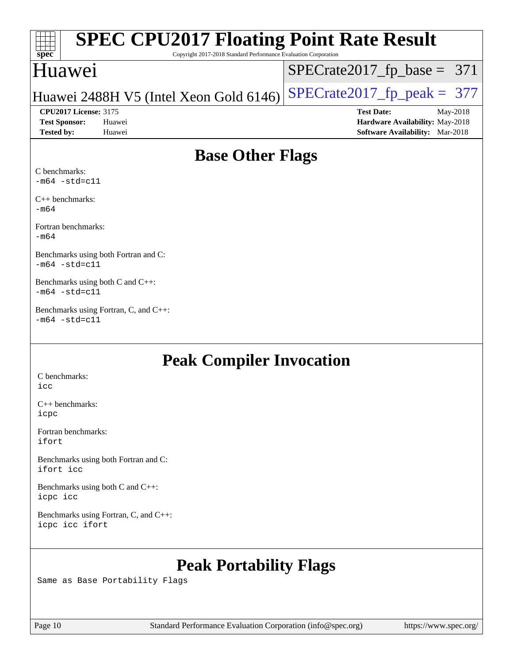| Spec              |                              | <b>SPEC CPU2017 Floating Point Rate Result</b><br>Copyright 2017-2018 Standard Performance Evaluation Corporation |                                        |            |
|-------------------|------------------------------|-------------------------------------------------------------------------------------------------------------------|----------------------------------------|------------|
|                   | Huawei                       |                                                                                                                   | $SPECrate2017_fp\_base = 371$          |            |
|                   |                              | Huawei 2488H V5 (Intel Xeon Gold 6146)                                                                            | $SPECrate2017_fp\_peak = 377$          |            |
|                   | <b>CPU2017 License: 3175</b> |                                                                                                                   | <b>Test Date:</b>                      | $May-2018$ |
|                   | <b>Test Sponsor:</b>         | Huawei                                                                                                            | Hardware Availability: May-2018        |            |
| <b>Tested by:</b> |                              | Huawei                                                                                                            | <b>Software Availability:</b> Mar-2018 |            |
|                   |                              |                                                                                                                   |                                        |            |

## **[Base Other Flags](http://www.spec.org/auto/cpu2017/Docs/result-fields.html#BaseOtherFlags)**

[C benchmarks:](http://www.spec.org/auto/cpu2017/Docs/result-fields.html#Cbenchmarks)  $-m64 - std= c11$  $-m64 - std= c11$ 

[C++ benchmarks:](http://www.spec.org/auto/cpu2017/Docs/result-fields.html#CXXbenchmarks) [-m64](http://www.spec.org/cpu2017/results/res2018q4/cpu2017-20181118-09819.flags.html#user_CXXbase_intel_intel64_18.0_af43caccfc8ded86e7699f2159af6efc7655f51387b94da716254467f3c01020a5059329e2569e4053f409e7c9202a7efc638f7a6d1ffb3f52dea4a3e31d82ab)

[Fortran benchmarks](http://www.spec.org/auto/cpu2017/Docs/result-fields.html#Fortranbenchmarks): [-m64](http://www.spec.org/cpu2017/results/res2018q4/cpu2017-20181118-09819.flags.html#user_FCbase_intel_intel64_18.0_af43caccfc8ded86e7699f2159af6efc7655f51387b94da716254467f3c01020a5059329e2569e4053f409e7c9202a7efc638f7a6d1ffb3f52dea4a3e31d82ab)

[Benchmarks using both Fortran and C:](http://www.spec.org/auto/cpu2017/Docs/result-fields.html#BenchmarksusingbothFortranandC) [-m64](http://www.spec.org/cpu2017/results/res2018q4/cpu2017-20181118-09819.flags.html#user_CC_FCbase_intel_intel64_18.0_af43caccfc8ded86e7699f2159af6efc7655f51387b94da716254467f3c01020a5059329e2569e4053f409e7c9202a7efc638f7a6d1ffb3f52dea4a3e31d82ab) [-std=c11](http://www.spec.org/cpu2017/results/res2018q4/cpu2017-20181118-09819.flags.html#user_CC_FCbase_intel_compiler_c11_mode_0e1c27790398a4642dfca32ffe6c27b5796f9c2d2676156f2e42c9c44eaad0c049b1cdb667a270c34d979996257aeb8fc440bfb01818dbc9357bd9d174cb8524)

[Benchmarks using both C and C++](http://www.spec.org/auto/cpu2017/Docs/result-fields.html#BenchmarksusingbothCandCXX): [-m64](http://www.spec.org/cpu2017/results/res2018q4/cpu2017-20181118-09819.flags.html#user_CC_CXXbase_intel_intel64_18.0_af43caccfc8ded86e7699f2159af6efc7655f51387b94da716254467f3c01020a5059329e2569e4053f409e7c9202a7efc638f7a6d1ffb3f52dea4a3e31d82ab) [-std=c11](http://www.spec.org/cpu2017/results/res2018q4/cpu2017-20181118-09819.flags.html#user_CC_CXXbase_intel_compiler_c11_mode_0e1c27790398a4642dfca32ffe6c27b5796f9c2d2676156f2e42c9c44eaad0c049b1cdb667a270c34d979996257aeb8fc440bfb01818dbc9357bd9d174cb8524)

[Benchmarks using Fortran, C, and C++:](http://www.spec.org/auto/cpu2017/Docs/result-fields.html#BenchmarksusingFortranCandCXX)  $-m64$   $-std=cl1$ 

## **[Peak Compiler Invocation](http://www.spec.org/auto/cpu2017/Docs/result-fields.html#PeakCompilerInvocation)**

[C benchmarks](http://www.spec.org/auto/cpu2017/Docs/result-fields.html#Cbenchmarks): [icc](http://www.spec.org/cpu2017/results/res2018q4/cpu2017-20181118-09819.flags.html#user_CCpeak_intel_icc_18.0_66fc1ee009f7361af1fbd72ca7dcefbb700085f36577c54f309893dd4ec40d12360134090235512931783d35fd58c0460139e722d5067c5574d8eaf2b3e37e92)

[C++ benchmarks:](http://www.spec.org/auto/cpu2017/Docs/result-fields.html#CXXbenchmarks) [icpc](http://www.spec.org/cpu2017/results/res2018q4/cpu2017-20181118-09819.flags.html#user_CXXpeak_intel_icpc_18.0_c510b6838c7f56d33e37e94d029a35b4a7bccf4766a728ee175e80a419847e808290a9b78be685c44ab727ea267ec2f070ec5dc83b407c0218cded6866a35d07)

[Fortran benchmarks](http://www.spec.org/auto/cpu2017/Docs/result-fields.html#Fortranbenchmarks): [ifort](http://www.spec.org/cpu2017/results/res2018q4/cpu2017-20181118-09819.flags.html#user_FCpeak_intel_ifort_18.0_8111460550e3ca792625aed983ce982f94888b8b503583aa7ba2b8303487b4d8a21a13e7191a45c5fd58ff318f48f9492884d4413fa793fd88dd292cad7027ca)

[Benchmarks using both Fortran and C](http://www.spec.org/auto/cpu2017/Docs/result-fields.html#BenchmarksusingbothFortranandC): [ifort](http://www.spec.org/cpu2017/results/res2018q4/cpu2017-20181118-09819.flags.html#user_CC_FCpeak_intel_ifort_18.0_8111460550e3ca792625aed983ce982f94888b8b503583aa7ba2b8303487b4d8a21a13e7191a45c5fd58ff318f48f9492884d4413fa793fd88dd292cad7027ca) [icc](http://www.spec.org/cpu2017/results/res2018q4/cpu2017-20181118-09819.flags.html#user_CC_FCpeak_intel_icc_18.0_66fc1ee009f7361af1fbd72ca7dcefbb700085f36577c54f309893dd4ec40d12360134090235512931783d35fd58c0460139e722d5067c5574d8eaf2b3e37e92)

[Benchmarks using both C and C++](http://www.spec.org/auto/cpu2017/Docs/result-fields.html#BenchmarksusingbothCandCXX): [icpc](http://www.spec.org/cpu2017/results/res2018q4/cpu2017-20181118-09819.flags.html#user_CC_CXXpeak_intel_icpc_18.0_c510b6838c7f56d33e37e94d029a35b4a7bccf4766a728ee175e80a419847e808290a9b78be685c44ab727ea267ec2f070ec5dc83b407c0218cded6866a35d07) [icc](http://www.spec.org/cpu2017/results/res2018q4/cpu2017-20181118-09819.flags.html#user_CC_CXXpeak_intel_icc_18.0_66fc1ee009f7361af1fbd72ca7dcefbb700085f36577c54f309893dd4ec40d12360134090235512931783d35fd58c0460139e722d5067c5574d8eaf2b3e37e92)

[Benchmarks using Fortran, C, and C++:](http://www.spec.org/auto/cpu2017/Docs/result-fields.html#BenchmarksusingFortranCandCXX) [icpc](http://www.spec.org/cpu2017/results/res2018q4/cpu2017-20181118-09819.flags.html#user_CC_CXX_FCpeak_intel_icpc_18.0_c510b6838c7f56d33e37e94d029a35b4a7bccf4766a728ee175e80a419847e808290a9b78be685c44ab727ea267ec2f070ec5dc83b407c0218cded6866a35d07) [icc](http://www.spec.org/cpu2017/results/res2018q4/cpu2017-20181118-09819.flags.html#user_CC_CXX_FCpeak_intel_icc_18.0_66fc1ee009f7361af1fbd72ca7dcefbb700085f36577c54f309893dd4ec40d12360134090235512931783d35fd58c0460139e722d5067c5574d8eaf2b3e37e92) [ifort](http://www.spec.org/cpu2017/results/res2018q4/cpu2017-20181118-09819.flags.html#user_CC_CXX_FCpeak_intel_ifort_18.0_8111460550e3ca792625aed983ce982f94888b8b503583aa7ba2b8303487b4d8a21a13e7191a45c5fd58ff318f48f9492884d4413fa793fd88dd292cad7027ca)

## **[Peak Portability Flags](http://www.spec.org/auto/cpu2017/Docs/result-fields.html#PeakPortabilityFlags)**

Same as Base Portability Flags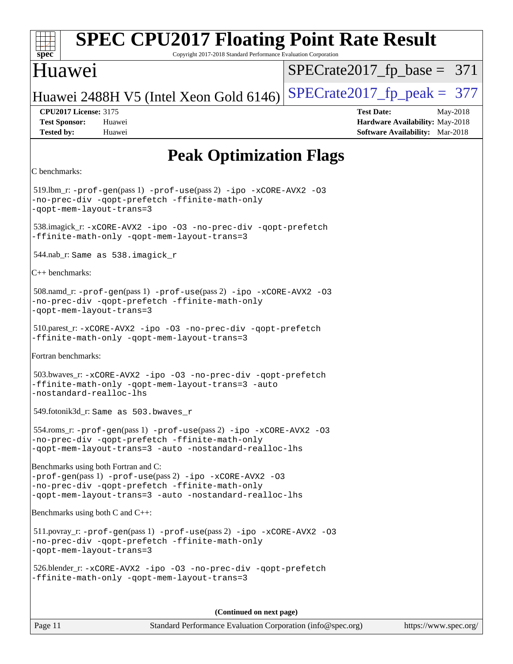| spec                                                                                                                                                                                                           | <b>SPEC CPU2017 Floating Point Rate Result</b><br>Copyright 2017-2018 Standard Performance Evaluation Corporation |
|----------------------------------------------------------------------------------------------------------------------------------------------------------------------------------------------------------------|-------------------------------------------------------------------------------------------------------------------|
| Huawei                                                                                                                                                                                                         | $SPECrate2017_fp\_base = 371$                                                                                     |
| Huawei 2488H V5 (Intel Xeon Gold 6146)                                                                                                                                                                         | $SPECrate2017_fp\_peak = 377$                                                                                     |
| <b>CPU2017 License: 3175</b><br><b>Test Sponsor:</b><br>Huawei<br><b>Tested by:</b><br>Huawei                                                                                                                  | <b>Test Date:</b><br>May-2018<br>Hardware Availability: May-2018<br><b>Software Availability:</b> Mar-2018        |
|                                                                                                                                                                                                                | <b>Peak Optimization Flags</b>                                                                                    |
| C benchmarks:                                                                                                                                                                                                  |                                                                                                                   |
| $519$ .lbm_r: -prof-gen(pass 1) -prof-use(pass 2) -ipo -xCORE-AVX2 -03<br>-no-prec-div -qopt-prefetch -ffinite-math-only<br>-qopt-mem-layout-trans=3                                                           |                                                                                                                   |
| 538.imagick_r: -xCORE-AVX2 -ipo -03 -no-prec-div -qopt-prefetch<br>-ffinite-math-only -qopt-mem-layout-trans=3                                                                                                 |                                                                                                                   |
| 544.nab_r: Same as 538.imagick_r                                                                                                                                                                               |                                                                                                                   |
| $C++$ benchmarks:                                                                                                                                                                                              |                                                                                                                   |
| 508.namd_r: -prof-gen(pass 1) -prof-use(pass 2) -ipo -xCORE-AVX2 -03<br>-no-prec-div -qopt-prefetch -ffinite-math-only<br>-qopt-mem-layout-trans=3                                                             |                                                                                                                   |
| 510.parest_r: -xCORE-AVX2 -ipo -03 -no-prec-div -qopt-prefetch<br>-ffinite-math-only -qopt-mem-layout-trans=3                                                                                                  |                                                                                                                   |
| Fortran benchmarks:                                                                                                                                                                                            |                                                                                                                   |
| 503.bwaves_r: -xCORE-AVX2 -ipo -03 -no-prec-div -qopt-prefetch<br>-ffinite-math-only -qopt-mem-layout-trans=3 -auto<br>-nostandard-realloc-lhs                                                                 |                                                                                                                   |
| 549.fotonik3d_r: Same as 503.bwaves_r                                                                                                                                                                          |                                                                                                                   |
| 554.roms_r: -prof-gen(pass 1) -prof-use(pass 2) -ipo -xCORE-AVX2 -03<br>-no-prec-div -qopt-prefetch -ffinite-math-only<br>-qopt-mem-layout-trans=3 -auto -nostandard-realloc-lhs                               |                                                                                                                   |
| Benchmarks using both Fortran and C:<br>$-prof-qen(pass 1) -prof-use(pass 2) -ipo -xCORE-AVX2 -03$<br>-no-prec-div -qopt-prefetch -ffinite-math-only<br>-qopt-mem-layout-trans=3 -auto -nostandard-realloc-lhs |                                                                                                                   |
| Benchmarks using both C and C++:                                                                                                                                                                               |                                                                                                                   |
| 511.povray_r: -prof-gen(pass 1) -prof-use(pass 2) -ipo -xCORE-AVX2 -03<br>-no-prec-div -qopt-prefetch -ffinite-math-only<br>-qopt-mem-layout-trans=3                                                           |                                                                                                                   |

 526.blender\_r: [-xCORE-AVX2](http://www.spec.org/cpu2017/results/res2018q4/cpu2017-20181118-09819.flags.html#user_peakCOPTIMIZECXXOPTIMIZE526_blender_r_f-xCORE-AVX2) [-ipo](http://www.spec.org/cpu2017/results/res2018q4/cpu2017-20181118-09819.flags.html#user_peakCOPTIMIZECXXOPTIMIZE526_blender_r_f-ipo) [-O3](http://www.spec.org/cpu2017/results/res2018q4/cpu2017-20181118-09819.flags.html#user_peakCOPTIMIZECXXOPTIMIZE526_blender_r_f-O3) [-no-prec-div](http://www.spec.org/cpu2017/results/res2018q4/cpu2017-20181118-09819.flags.html#user_peakCOPTIMIZECXXOPTIMIZE526_blender_r_f-no-prec-div) [-qopt-prefetch](http://www.spec.org/cpu2017/results/res2018q4/cpu2017-20181118-09819.flags.html#user_peakCOPTIMIZECXXOPTIMIZE526_blender_r_f-qopt-prefetch) [-ffinite-math-only](http://www.spec.org/cpu2017/results/res2018q4/cpu2017-20181118-09819.flags.html#user_peakCOPTIMIZECXXOPTIMIZE526_blender_r_f_finite_math_only_cb91587bd2077682c4b38af759c288ed7c732db004271a9512da14a4f8007909a5f1427ecbf1a0fb78ff2a814402c6114ac565ca162485bbcae155b5e4258871) [-qopt-mem-layout-trans=3](http://www.spec.org/cpu2017/results/res2018q4/cpu2017-20181118-09819.flags.html#user_peakCOPTIMIZECXXOPTIMIZE526_blender_r_f-qopt-mem-layout-trans_de80db37974c74b1f0e20d883f0b675c88c3b01e9d123adea9b28688d64333345fb62bc4a798493513fdb68f60282f9a726aa07f478b2f7113531aecce732043)

**(Continued on next page)**